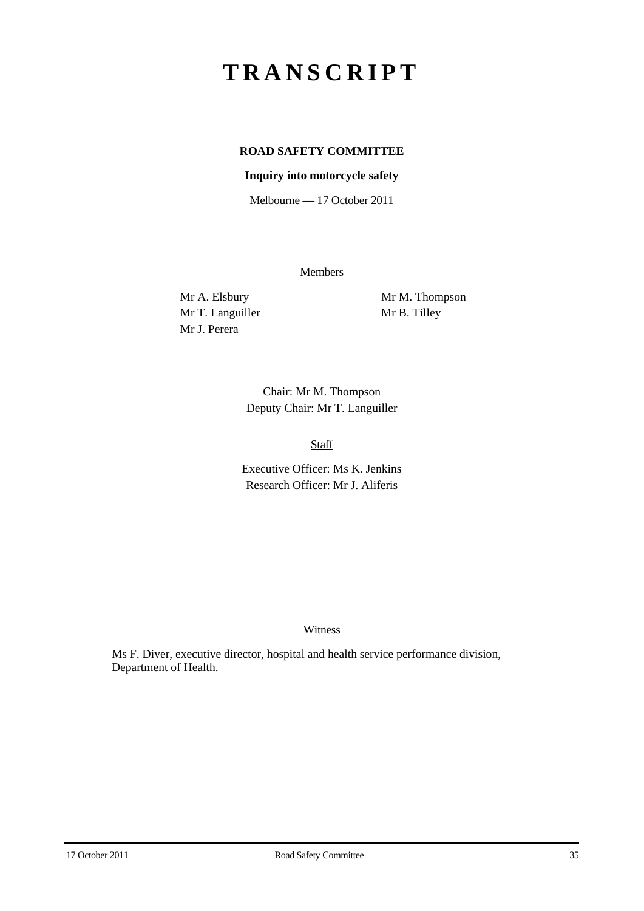# **TRANSCRIPT**

# **ROAD SAFETY COMMITTEE**

## **Inquiry into motorcycle safety**

Melbourne — 17 October 2011

**Members** 

Mr T. Languiller Mr B. Tilley Mr J. Perera

Mr A. Elsbury Mr M. Thompson

Chair: Mr M. Thompson Deputy Chair: Mr T. Languiller

Staff

Executive Officer: Ms K. Jenkins Research Officer: Mr J. Aliferis

#### Witness

Ms F. Diver, executive director, hospital and health service performance division, Department of Health.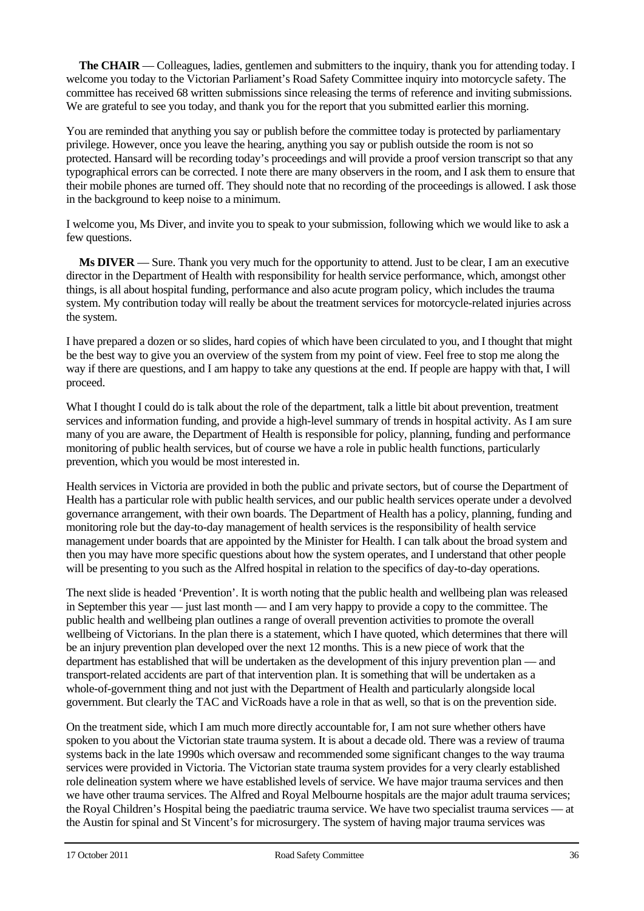**The CHAIR** — Colleagues, ladies, gentlemen and submitters to the inquiry, thank you for attending today. I welcome you today to the Victorian Parliament's Road Safety Committee inquiry into motorcycle safety. The committee has received 68 written submissions since releasing the terms of reference and inviting submissions. We are grateful to see you today, and thank you for the report that you submitted earlier this morning.

You are reminded that anything you say or publish before the committee today is protected by parliamentary privilege. However, once you leave the hearing, anything you say or publish outside the room is not so protected. Hansard will be recording today's proceedings and will provide a proof version transcript so that any typographical errors can be corrected. I note there are many observers in the room, and I ask them to ensure that their mobile phones are turned off. They should note that no recording of the proceedings is allowed. I ask those in the background to keep noise to a minimum.

I welcome you, Ms Diver, and invite you to speak to your submission, following which we would like to ask a few questions.

**Ms DIVER** — Sure. Thank you very much for the opportunity to attend. Just to be clear, I am an executive director in the Department of Health with responsibility for health service performance, which, amongst other things, is all about hospital funding, performance and also acute program policy, which includes the trauma system. My contribution today will really be about the treatment services for motorcycle-related injuries across the system.

I have prepared a dozen or so slides, hard copies of which have been circulated to you, and I thought that might be the best way to give you an overview of the system from my point of view. Feel free to stop me along the way if there are questions, and I am happy to take any questions at the end. If people are happy with that, I will proceed.

What I thought I could do is talk about the role of the department, talk a little bit about prevention, treatment services and information funding, and provide a high-level summary of trends in hospital activity. As I am sure many of you are aware, the Department of Health is responsible for policy, planning, funding and performance monitoring of public health services, but of course we have a role in public health functions, particularly prevention, which you would be most interested in.

Health services in Victoria are provided in both the public and private sectors, but of course the Department of Health has a particular role with public health services, and our public health services operate under a devolved governance arrangement, with their own boards. The Department of Health has a policy, planning, funding and monitoring role but the day-to-day management of health services is the responsibility of health service management under boards that are appointed by the Minister for Health. I can talk about the broad system and then you may have more specific questions about how the system operates, and I understand that other people will be presenting to you such as the Alfred hospital in relation to the specifics of day-to-day operations.

The next slide is headed 'Prevention'. It is worth noting that the public health and wellbeing plan was released in September this year — just last month — and I am very happy to provide a copy to the committee. The public health and wellbeing plan outlines a range of overall prevention activities to promote the overall wellbeing of Victorians. In the plan there is a statement, which I have quoted, which determines that there will be an injury prevention plan developed over the next 12 months. This is a new piece of work that the department has established that will be undertaken as the development of this injury prevention plan — and transport-related accidents are part of that intervention plan. It is something that will be undertaken as a whole-of-government thing and not just with the Department of Health and particularly alongside local government. But clearly the TAC and VicRoads have a role in that as well, so that is on the prevention side.

On the treatment side, which I am much more directly accountable for, I am not sure whether others have spoken to you about the Victorian state trauma system. It is about a decade old. There was a review of trauma systems back in the late 1990s which oversaw and recommended some significant changes to the way trauma services were provided in Victoria. The Victorian state trauma system provides for a very clearly established role delineation system where we have established levels of service. We have major trauma services and then we have other trauma services. The Alfred and Royal Melbourne hospitals are the major adult trauma services; the Royal Children's Hospital being the paediatric trauma service. We have two specialist trauma services — at the Austin for spinal and St Vincent's for microsurgery. The system of having major trauma services was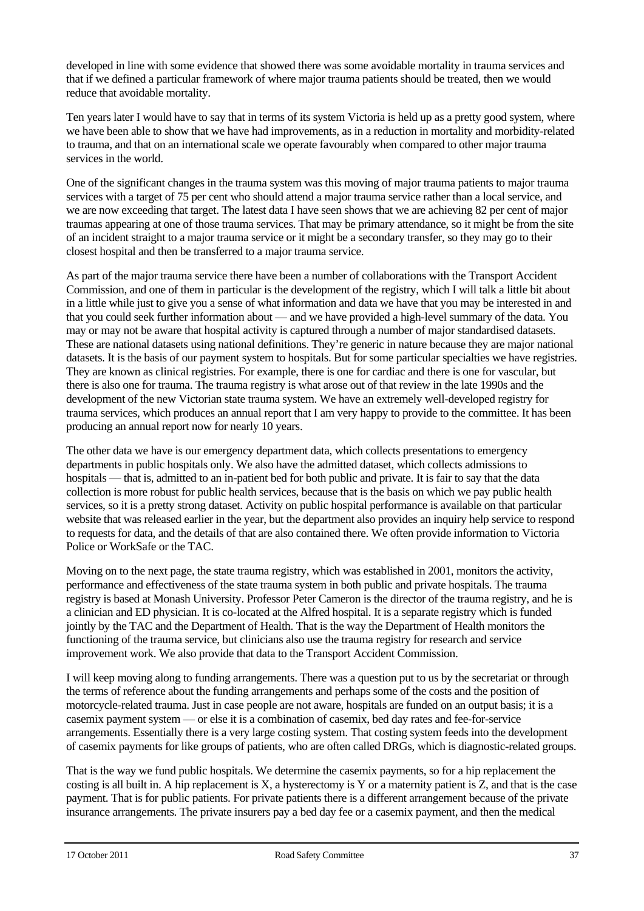developed in line with some evidence that showed there was some avoidable mortality in trauma services and that if we defined a particular framework of where major trauma patients should be treated, then we would reduce that avoidable mortality.

Ten years later I would have to say that in terms of its system Victoria is held up as a pretty good system, where we have been able to show that we have had improvements, as in a reduction in mortality and morbidity-related to trauma, and that on an international scale we operate favourably when compared to other major trauma services in the world.

One of the significant changes in the trauma system was this moving of major trauma patients to major trauma services with a target of 75 per cent who should attend a major trauma service rather than a local service, and we are now exceeding that target. The latest data I have seen shows that we are achieving 82 per cent of major traumas appearing at one of those trauma services. That may be primary attendance, so it might be from the site of an incident straight to a major trauma service or it might be a secondary transfer, so they may go to their closest hospital and then be transferred to a major trauma service.

As part of the major trauma service there have been a number of collaborations with the Transport Accident Commission, and one of them in particular is the development of the registry, which I will talk a little bit about in a little while just to give you a sense of what information and data we have that you may be interested in and that you could seek further information about — and we have provided a high-level summary of the data. You may or may not be aware that hospital activity is captured through a number of major standardised datasets. These are national datasets using national definitions. They're generic in nature because they are major national datasets. It is the basis of our payment system to hospitals. But for some particular specialties we have registries. They are known as clinical registries. For example, there is one for cardiac and there is one for vascular, but there is also one for trauma. The trauma registry is what arose out of that review in the late 1990s and the development of the new Victorian state trauma system. We have an extremely well-developed registry for trauma services, which produces an annual report that I am very happy to provide to the committee. It has been producing an annual report now for nearly 10 years.

The other data we have is our emergency department data, which collects presentations to emergency departments in public hospitals only. We also have the admitted dataset, which collects admissions to hospitals — that is, admitted to an in-patient bed for both public and private. It is fair to say that the data collection is more robust for public health services, because that is the basis on which we pay public health services, so it is a pretty strong dataset. Activity on public hospital performance is available on that particular website that was released earlier in the year, but the department also provides an inquiry help service to respond to requests for data, and the details of that are also contained there. We often provide information to Victoria Police or WorkSafe or the TAC.

Moving on to the next page, the state trauma registry, which was established in 2001, monitors the activity, performance and effectiveness of the state trauma system in both public and private hospitals. The trauma registry is based at Monash University. Professor Peter Cameron is the director of the trauma registry, and he is a clinician and ED physician. It is co-located at the Alfred hospital. It is a separate registry which is funded jointly by the TAC and the Department of Health. That is the way the Department of Health monitors the functioning of the trauma service, but clinicians also use the trauma registry for research and service improvement work. We also provide that data to the Transport Accident Commission.

I will keep moving along to funding arrangements. There was a question put to us by the secretariat or through the terms of reference about the funding arrangements and perhaps some of the costs and the position of motorcycle-related trauma. Just in case people are not aware, hospitals are funded on an output basis; it is a casemix payment system — or else it is a combination of casemix, bed day rates and fee-for-service arrangements. Essentially there is a very large costing system. That costing system feeds into the development of casemix payments for like groups of patients, who are often called DRGs, which is diagnostic-related groups.

That is the way we fund public hospitals. We determine the casemix payments, so for a hip replacement the costing is all built in. A hip replacement is X, a hysterectomy is Y or a maternity patient is Z, and that is the case payment. That is for public patients. For private patients there is a different arrangement because of the private insurance arrangements. The private insurers pay a bed day fee or a casemix payment, and then the medical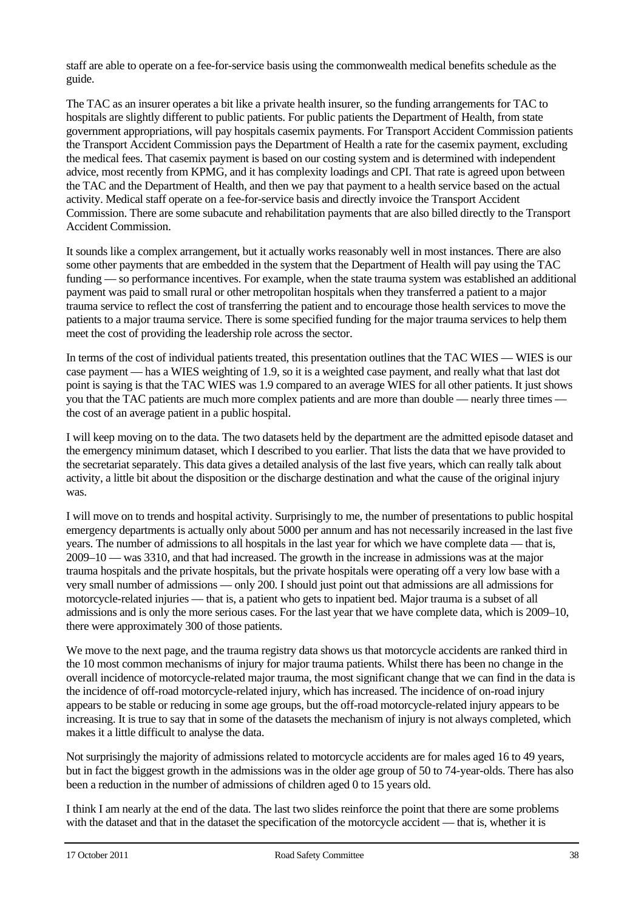staff are able to operate on a fee-for-service basis using the commonwealth medical benefits schedule as the guide.

The TAC as an insurer operates a bit like a private health insurer, so the funding arrangements for TAC to hospitals are slightly different to public patients. For public patients the Department of Health, from state government appropriations, will pay hospitals casemix payments. For Transport Accident Commission patients the Transport Accident Commission pays the Department of Health a rate for the casemix payment, excluding the medical fees. That casemix payment is based on our costing system and is determined with independent advice, most recently from KPMG, and it has complexity loadings and CPI. That rate is agreed upon between the TAC and the Department of Health, and then we pay that payment to a health service based on the actual activity. Medical staff operate on a fee-for-service basis and directly invoice the Transport Accident Commission. There are some subacute and rehabilitation payments that are also billed directly to the Transport Accident Commission.

It sounds like a complex arrangement, but it actually works reasonably well in most instances. There are also some other payments that are embedded in the system that the Department of Health will pay using the TAC funding — so performance incentives. For example, when the state trauma system was established an additional payment was paid to small rural or other metropolitan hospitals when they transferred a patient to a major trauma service to reflect the cost of transferring the patient and to encourage those health services to move the patients to a major trauma service. There is some specified funding for the major trauma services to help them meet the cost of providing the leadership role across the sector.

In terms of the cost of individual patients treated, this presentation outlines that the TAC WIES — WIES is our case payment — has a WIES weighting of 1.9, so it is a weighted case payment, and really what that last dot point is saying is that the TAC WIES was 1.9 compared to an average WIES for all other patients. It just shows you that the TAC patients are much more complex patients and are more than double — nearly three times the cost of an average patient in a public hospital.

I will keep moving on to the data. The two datasets held by the department are the admitted episode dataset and the emergency minimum dataset, which I described to you earlier. That lists the data that we have provided to the secretariat separately. This data gives a detailed analysis of the last five years, which can really talk about activity, a little bit about the disposition or the discharge destination and what the cause of the original injury was.

I will move on to trends and hospital activity. Surprisingly to me, the number of presentations to public hospital emergency departments is actually only about 5000 per annum and has not necessarily increased in the last five years. The number of admissions to all hospitals in the last year for which we have complete data — that is, 2009–10 — was 3310, and that had increased. The growth in the increase in admissions was at the major trauma hospitals and the private hospitals, but the private hospitals were operating off a very low base with a very small number of admissions — only 200. I should just point out that admissions are all admissions for motorcycle-related injuries — that is, a patient who gets to inpatient bed. Major trauma is a subset of all admissions and is only the more serious cases. For the last year that we have complete data, which is 2009–10, there were approximately 300 of those patients.

We move to the next page, and the trauma registry data shows us that motorcycle accidents are ranked third in the 10 most common mechanisms of injury for major trauma patients. Whilst there has been no change in the overall incidence of motorcycle-related major trauma, the most significant change that we can find in the data is the incidence of off-road motorcycle-related injury, which has increased. The incidence of on-road injury appears to be stable or reducing in some age groups, but the off-road motorcycle-related injury appears to be increasing. It is true to say that in some of the datasets the mechanism of injury is not always completed, which makes it a little difficult to analyse the data.

Not surprisingly the majority of admissions related to motorcycle accidents are for males aged 16 to 49 years, but in fact the biggest growth in the admissions was in the older age group of 50 to 74-year-olds. There has also been a reduction in the number of admissions of children aged 0 to 15 years old.

I think I am nearly at the end of the data. The last two slides reinforce the point that there are some problems with the dataset and that in the dataset the specification of the motorcycle accident — that is, whether it is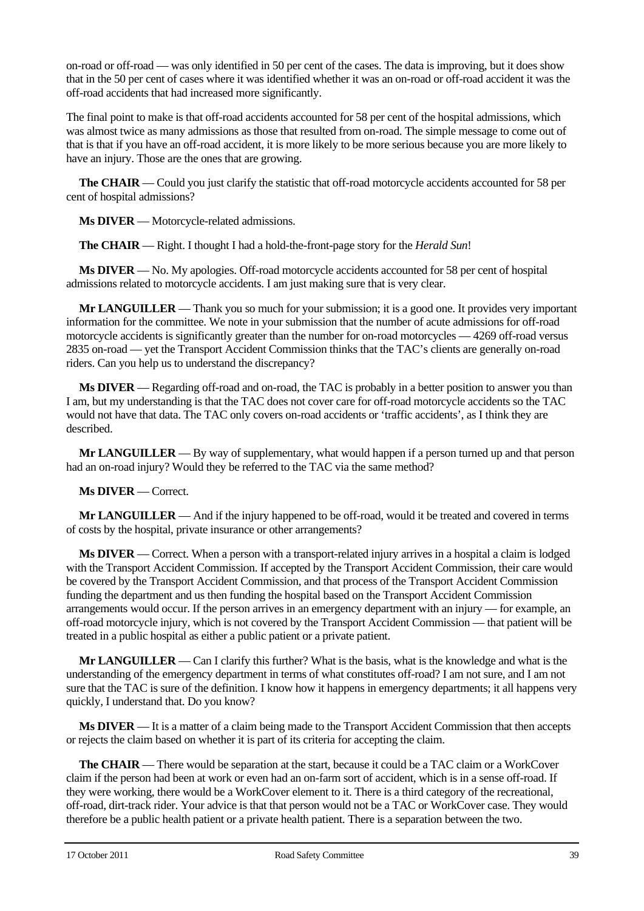on-road or off-road — was only identified in 50 per cent of the cases. The data is improving, but it does show that in the 50 per cent of cases where it was identified whether it was an on-road or off-road accident it was the off-road accidents that had increased more significantly.

The final point to make is that off-road accidents accounted for 58 per cent of the hospital admissions, which was almost twice as many admissions as those that resulted from on-road. The simple message to come out of that is that if you have an off-road accident, it is more likely to be more serious because you are more likely to have an injury. Those are the ones that are growing.

**The CHAIR** — Could you just clarify the statistic that off-road motorcycle accidents accounted for 58 per cent of hospital admissions?

**Ms DIVER** — Motorcycle-related admissions.

**The CHAIR** — Right. I thought I had a hold-the-front-page story for the *Herald Sun*!

**Ms DIVER** — No. My apologies. Off-road motorcycle accidents accounted for 58 per cent of hospital admissions related to motorcycle accidents. I am just making sure that is very clear.

**Mr LANGUILLER** — Thank you so much for your submission; it is a good one. It provides very important information for the committee. We note in your submission that the number of acute admissions for off-road motorcycle accidents is significantly greater than the number for on-road motorcycles — 4269 off-road versus 2835 on-road — yet the Transport Accident Commission thinks that the TAC's clients are generally on-road riders. Can you help us to understand the discrepancy?

**Ms DIVER** — Regarding off-road and on-road, the TAC is probably in a better position to answer you than I am, but my understanding is that the TAC does not cover care for off-road motorcycle accidents so the TAC would not have that data. The TAC only covers on-road accidents or 'traffic accidents', as I think they are described.

**Mr LANGUILLER** — By way of supplementary, what would happen if a person turned up and that person had an on-road injury? Would they be referred to the TAC via the same method?

**Ms DIVER** — Correct.

**Mr LANGUILLER** — And if the injury happened to be off-road, would it be treated and covered in terms of costs by the hospital, private insurance or other arrangements?

**Ms DIVER** — Correct. When a person with a transport-related injury arrives in a hospital a claim is lodged with the Transport Accident Commission. If accepted by the Transport Accident Commission, their care would be covered by the Transport Accident Commission, and that process of the Transport Accident Commission funding the department and us then funding the hospital based on the Transport Accident Commission arrangements would occur. If the person arrives in an emergency department with an injury — for example, an off-road motorcycle injury, which is not covered by the Transport Accident Commission — that patient will be treated in a public hospital as either a public patient or a private patient.

**Mr LANGUILLER** — Can I clarify this further? What is the basis, what is the knowledge and what is the understanding of the emergency department in terms of what constitutes off-road? I am not sure, and I am not sure that the TAC is sure of the definition. I know how it happens in emergency departments; it all happens very quickly, I understand that. Do you know?

**Ms DIVER** — It is a matter of a claim being made to the Transport Accident Commission that then accepts or rejects the claim based on whether it is part of its criteria for accepting the claim.

**The CHAIR** — There would be separation at the start, because it could be a TAC claim or a WorkCover claim if the person had been at work or even had an on-farm sort of accident, which is in a sense off-road. If they were working, there would be a WorkCover element to it. There is a third category of the recreational, off-road, dirt-track rider. Your advice is that that person would not be a TAC or WorkCover case. They would therefore be a public health patient or a private health patient. There is a separation between the two.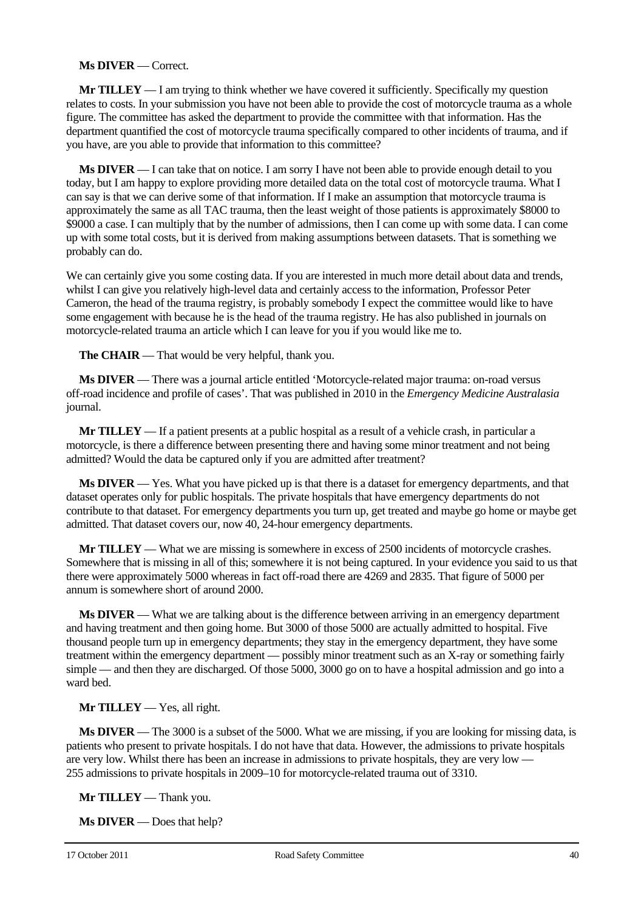#### **Ms DIVER** — Correct.

**Mr TILLEY** — I am trying to think whether we have covered it sufficiently. Specifically my question relates to costs. In your submission you have not been able to provide the cost of motorcycle trauma as a whole figure. The committee has asked the department to provide the committee with that information. Has the department quantified the cost of motorcycle trauma specifically compared to other incidents of trauma, and if you have, are you able to provide that information to this committee?

**Ms DIVER** — I can take that on notice. I am sorry I have not been able to provide enough detail to you today, but I am happy to explore providing more detailed data on the total cost of motorcycle trauma. What I can say is that we can derive some of that information. If I make an assumption that motorcycle trauma is approximately the same as all TAC trauma, then the least weight of those patients is approximately \$8000 to \$9000 a case. I can multiply that by the number of admissions, then I can come up with some data. I can come up with some total costs, but it is derived from making assumptions between datasets. That is something we probably can do.

We can certainly give you some costing data. If you are interested in much more detail about data and trends, whilst I can give you relatively high-level data and certainly access to the information, Professor Peter Cameron, the head of the trauma registry, is probably somebody I expect the committee would like to have some engagement with because he is the head of the trauma registry. He has also published in journals on motorcycle-related trauma an article which I can leave for you if you would like me to.

**The CHAIR** — That would be very helpful, thank you.

**Ms DIVER** — There was a journal article entitled 'Motorcycle-related major trauma: on-road versus off-road incidence and profile of cases'. That was published in 2010 in the *Emergency Medicine Australasia* journal.

**Mr TILLEY** — If a patient presents at a public hospital as a result of a vehicle crash, in particular a motorcycle, is there a difference between presenting there and having some minor treatment and not being admitted? Would the data be captured only if you are admitted after treatment?

**Ms DIVER** — Yes. What you have picked up is that there is a dataset for emergency departments, and that dataset operates only for public hospitals. The private hospitals that have emergency departments do not contribute to that dataset. For emergency departments you turn up, get treated and maybe go home or maybe get admitted. That dataset covers our, now 40, 24-hour emergency departments.

**Mr TILLEY** — What we are missing is somewhere in excess of 2500 incidents of motorcycle crashes. Somewhere that is missing in all of this; somewhere it is not being captured. In your evidence you said to us that there were approximately 5000 whereas in fact off-road there are 4269 and 2835. That figure of 5000 per annum is somewhere short of around 2000.

**Ms DIVER** — What we are talking about is the difference between arriving in an emergency department and having treatment and then going home. But 3000 of those 5000 are actually admitted to hospital. Five thousand people turn up in emergency departments; they stay in the emergency department, they have some treatment within the emergency department — possibly minor treatment such as an X-ray or something fairly simple — and then they are discharged. Of those 5000, 3000 go on to have a hospital admission and go into a ward bed.

# **Mr TILLEY** — Yes, all right.

**Ms DIVER** — The 3000 is a subset of the 5000. What we are missing, if you are looking for missing data, is patients who present to private hospitals. I do not have that data. However, the admissions to private hospitals are very low. Whilst there has been an increase in admissions to private hospitals, they are very low — 255 admissions to private hospitals in 2009–10 for motorcycle-related trauma out of 3310.

**Mr TILLEY** — Thank you.

**Ms DIVER** — Does that help?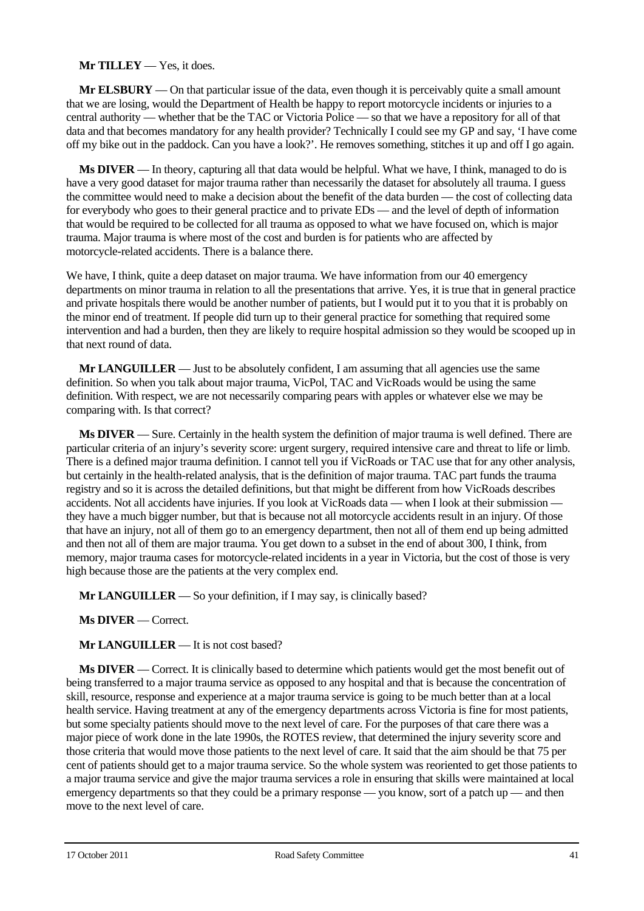## **Mr TILLEY** — Yes, it does.

**Mr ELSBURY** — On that particular issue of the data, even though it is perceivably quite a small amount that we are losing, would the Department of Health be happy to report motorcycle incidents or injuries to a central authority — whether that be the TAC or Victoria Police — so that we have a repository for all of that data and that becomes mandatory for any health provider? Technically I could see my GP and say, 'I have come off my bike out in the paddock. Can you have a look?'. He removes something, stitches it up and off I go again.

**Ms DIVER** — In theory, capturing all that data would be helpful. What we have, I think, managed to do is have a very good dataset for major trauma rather than necessarily the dataset for absolutely all trauma. I guess the committee would need to make a decision about the benefit of the data burden — the cost of collecting data for everybody who goes to their general practice and to private EDs — and the level of depth of information that would be required to be collected for all trauma as opposed to what we have focused on, which is major trauma. Major trauma is where most of the cost and burden is for patients who are affected by motorcycle-related accidents. There is a balance there.

We have, I think, quite a deep dataset on major trauma. We have information from our 40 emergency departments on minor trauma in relation to all the presentations that arrive. Yes, it is true that in general practice and private hospitals there would be another number of patients, but I would put it to you that it is probably on the minor end of treatment. If people did turn up to their general practice for something that required some intervention and had a burden, then they are likely to require hospital admission so they would be scooped up in that next round of data.

**Mr LANGUILLER** — Just to be absolutely confident, I am assuming that all agencies use the same definition. So when you talk about major trauma, VicPol, TAC and VicRoads would be using the same definition. With respect, we are not necessarily comparing pears with apples or whatever else we may be comparing with. Is that correct?

**Ms DIVER** — Sure. Certainly in the health system the definition of major trauma is well defined. There are particular criteria of an injury's severity score: urgent surgery, required intensive care and threat to life or limb. There is a defined major trauma definition. I cannot tell you if VicRoads or TAC use that for any other analysis, but certainly in the health-related analysis, that is the definition of major trauma. TAC part funds the trauma registry and so it is across the detailed definitions, but that might be different from how VicRoads describes accidents. Not all accidents have injuries. If you look at VicRoads data — when I look at their submission they have a much bigger number, but that is because not all motorcycle accidents result in an injury. Of those that have an injury, not all of them go to an emergency department, then not all of them end up being admitted and then not all of them are major trauma. You get down to a subset in the end of about 300, I think, from memory, major trauma cases for motorcycle-related incidents in a year in Victoria, but the cost of those is very high because those are the patients at the very complex end.

**Mr LANGUILLER** — So your definition, if I may say, is clinically based?

**Ms DIVER** — Correct.

#### **Mr LANGUILLER** — It is not cost based?

**Ms DIVER** — Correct. It is clinically based to determine which patients would get the most benefit out of being transferred to a major trauma service as opposed to any hospital and that is because the concentration of skill, resource, response and experience at a major trauma service is going to be much better than at a local health service. Having treatment at any of the emergency departments across Victoria is fine for most patients, but some specialty patients should move to the next level of care. For the purposes of that care there was a major piece of work done in the late 1990s, the ROTES review, that determined the injury severity score and those criteria that would move those patients to the next level of care. It said that the aim should be that 75 per cent of patients should get to a major trauma service. So the whole system was reoriented to get those patients to a major trauma service and give the major trauma services a role in ensuring that skills were maintained at local emergency departments so that they could be a primary response — you know, sort of a patch up — and then move to the next level of care.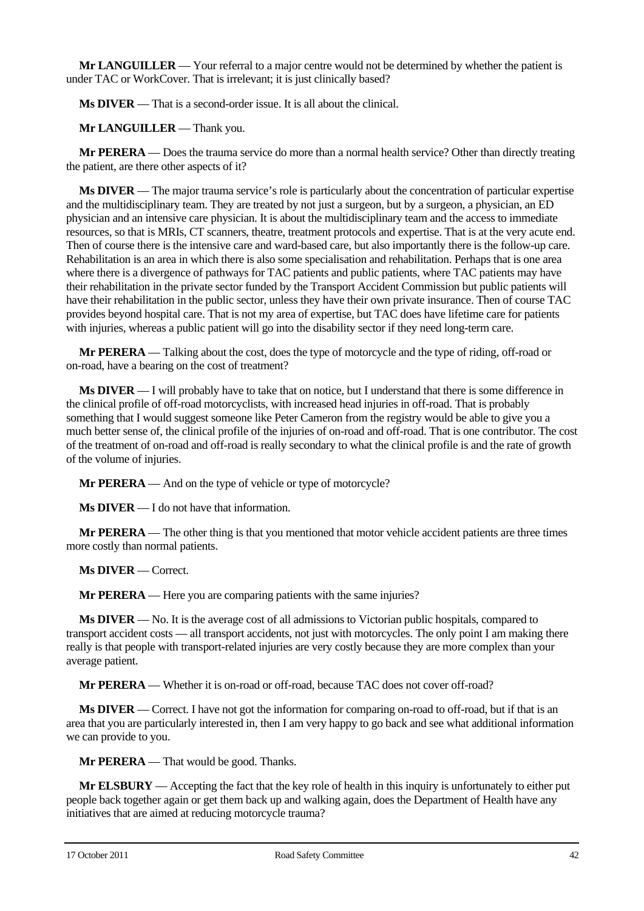**Mr LANGUILLER** — Your referral to a major centre would not be determined by whether the patient is under TAC or WorkCover. That is irrelevant; it is just clinically based?

**Ms DIVER** — That is a second-order issue. It is all about the clinical.

**Mr LANGUILLER** — Thank you.

**Mr PERERA** — Does the trauma service do more than a normal health service? Other than directly treating the patient, are there other aspects of it?

**Ms DIVER** — The major trauma service's role is particularly about the concentration of particular expertise and the multidisciplinary team. They are treated by not just a surgeon, but by a surgeon, a physician, an ED physician and an intensive care physician. It is about the multidisciplinary team and the access to immediate resources, so that is MRIs, CT scanners, theatre, treatment protocols and expertise. That is at the very acute end. Then of course there is the intensive care and ward-based care, but also importantly there is the follow-up care. Rehabilitation is an area in which there is also some specialisation and rehabilitation. Perhaps that is one area where there is a divergence of pathways for TAC patients and public patients, where TAC patients may have their rehabilitation in the private sector funded by the Transport Accident Commission but public patients will have their rehabilitation in the public sector, unless they have their own private insurance. Then of course TAC provides beyond hospital care. That is not my area of expertise, but TAC does have lifetime care for patients with injuries, whereas a public patient will go into the disability sector if they need long-term care.

**Mr PERERA** — Talking about the cost, does the type of motorcycle and the type of riding, off-road or on-road, have a bearing on the cost of treatment?

**Ms DIVER** — I will probably have to take that on notice, but I understand that there is some difference in the clinical profile of off-road motorcyclists, with increased head injuries in off-road. That is probably something that I would suggest someone like Peter Cameron from the registry would be able to give you a much better sense of, the clinical profile of the injuries of on-road and off-road. That is one contributor. The cost of the treatment of on-road and off-road is really secondary to what the clinical profile is and the rate of growth of the volume of injuries.

**Mr PERERA** — And on the type of vehicle or type of motorcycle?

**Ms DIVER** — I do not have that information.

**Mr PERERA** — The other thing is that you mentioned that motor vehicle accident patients are three times more costly than normal patients.

**Ms DIVER** — Correct.

**Mr PERERA** — Here you are comparing patients with the same injuries?

**Ms DIVER** — No. It is the average cost of all admissions to Victorian public hospitals, compared to transport accident costs — all transport accidents, not just with motorcycles. The only point I am making there really is that people with transport-related injuries are very costly because they are more complex than your average patient.

**Mr PERERA** — Whether it is on-road or off-road, because TAC does not cover off-road?

**Ms DIVER** — Correct. I have not got the information for comparing on-road to off-road, but if that is an area that you are particularly interested in, then I am very happy to go back and see what additional information we can provide to you.

**Mr PERERA** — That would be good. Thanks.

**Mr ELSBURY** — Accepting the fact that the key role of health in this inquiry is unfortunately to either put people back together again or get them back up and walking again, does the Department of Health have any initiatives that are aimed at reducing motorcycle trauma?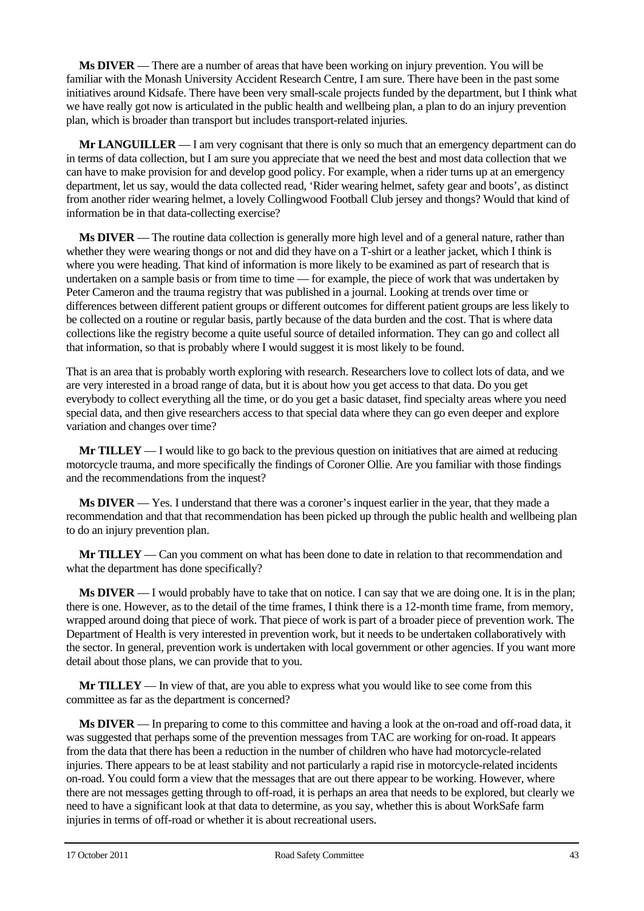**Ms DIVER** — There are a number of areas that have been working on injury prevention. You will be familiar with the Monash University Accident Research Centre, I am sure. There have been in the past some initiatives around Kidsafe. There have been very small-scale projects funded by the department, but I think what we have really got now is articulated in the public health and wellbeing plan, a plan to do an injury prevention plan, which is broader than transport but includes transport-related injuries.

**Mr LANGUILLER** — I am very cognisant that there is only so much that an emergency department can do in terms of data collection, but I am sure you appreciate that we need the best and most data collection that we can have to make provision for and develop good policy. For example, when a rider turns up at an emergency department, let us say, would the data collected read, 'Rider wearing helmet, safety gear and boots', as distinct from another rider wearing helmet, a lovely Collingwood Football Club jersey and thongs? Would that kind of information be in that data-collecting exercise?

**Ms DIVER** — The routine data collection is generally more high level and of a general nature, rather than whether they were wearing thongs or not and did they have on a T-shirt or a leather jacket, which I think is where you were heading. That kind of information is more likely to be examined as part of research that is undertaken on a sample basis or from time to time — for example, the piece of work that was undertaken by Peter Cameron and the trauma registry that was published in a journal. Looking at trends over time or differences between different patient groups or different outcomes for different patient groups are less likely to be collected on a routine or regular basis, partly because of the data burden and the cost. That is where data collections like the registry become a quite useful source of detailed information. They can go and collect all that information, so that is probably where I would suggest it is most likely to be found.

That is an area that is probably worth exploring with research. Researchers love to collect lots of data, and we are very interested in a broad range of data, but it is about how you get access to that data. Do you get everybody to collect everything all the time, or do you get a basic dataset, find specialty areas where you need special data, and then give researchers access to that special data where they can go even deeper and explore variation and changes over time?

**Mr TILLEY** — I would like to go back to the previous question on initiatives that are aimed at reducing motorcycle trauma, and more specifically the findings of Coroner Ollie. Are you familiar with those findings and the recommendations from the inquest?

**Ms DIVER** — Yes. I understand that there was a coroner's inquest earlier in the year, that they made a recommendation and that that recommendation has been picked up through the public health and wellbeing plan to do an injury prevention plan.

**Mr TILLEY** — Can you comment on what has been done to date in relation to that recommendation and what the department has done specifically?

**Ms DIVER** — I would probably have to take that on notice. I can say that we are doing one. It is in the plan; there is one. However, as to the detail of the time frames, I think there is a 12-month time frame, from memory, wrapped around doing that piece of work. That piece of work is part of a broader piece of prevention work. The Department of Health is very interested in prevention work, but it needs to be undertaken collaboratively with the sector. In general, prevention work is undertaken with local government or other agencies. If you want more detail about those plans, we can provide that to you.

**Mr TILLEY** — In view of that, are you able to express what you would like to see come from this committee as far as the department is concerned?

**Ms DIVER** — In preparing to come to this committee and having a look at the on-road and off-road data, it was suggested that perhaps some of the prevention messages from TAC are working for on-road. It appears from the data that there has been a reduction in the number of children who have had motorcycle-related injuries. There appears to be at least stability and not particularly a rapid rise in motorcycle-related incidents on-road. You could form a view that the messages that are out there appear to be working. However, where there are not messages getting through to off-road, it is perhaps an area that needs to be explored, but clearly we need to have a significant look at that data to determine, as you say, whether this is about WorkSafe farm injuries in terms of off-road or whether it is about recreational users.